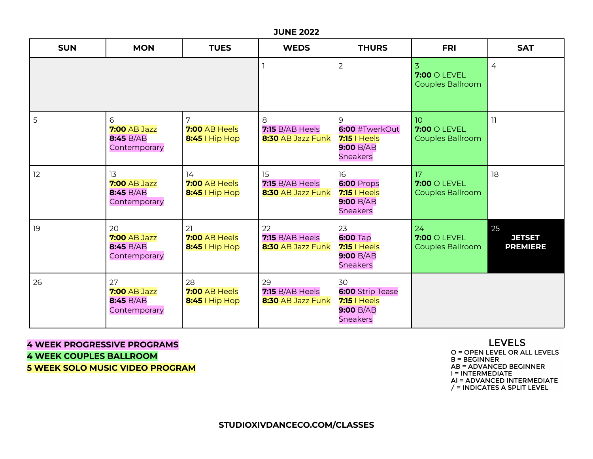#### **JUNE 2022**

| <b>SUN</b> | <b>MON</b>                                             | <b>TUES</b>                             | <b>WEDS</b>                                       | <b>THURS</b>                                                             | <b>FRI</b>                               | <b>SAT</b>                             |
|------------|--------------------------------------------------------|-----------------------------------------|---------------------------------------------------|--------------------------------------------------------------------------|------------------------------------------|----------------------------------------|
|            |                                                        |                                         |                                                   | $\overline{2}$                                                           | 3<br>$7:00$ O LEVEL<br>Couples Ballroom  | $\overline{4}$                         |
| 5          | 6<br><b>7:00 AB Jazz</b><br>8:45 B/AB<br>Contemporary  | 7<br>7:00 AB Heels<br>8:45   Hip Hop    | 8<br><b>7:15 B/AB Heels</b><br>8:30 AB Jazz Funk  | 9<br>6:00 #TwerkOut<br><b>7:15</b>   Heels<br>9:00 B/AB<br>Sneakers      | 10<br>$7:00$ O LEVEL<br>Couples Ballroom | $\overline{1}$                         |
| 12         | 13<br><b>7:00 AB Jazz</b><br>8:45 B/AB<br>Contemporary | 14<br>7:00 AB Heels<br>8:45   Hip Hop   | 15<br>$7:15 B/AB$ Heels<br>8:30 AB Jazz Funk      | 16<br>6:00 Props<br>$7:15$   Heels<br>9:00 B/AB<br>Sneakers              | 17<br>$7:00$ O LEVEL<br>Couples Ballroom | 18                                     |
| 19         | 20<br><b>7:00 AB Jazz</b><br>8:45 B/AB<br>Contemporary | 21<br>7:00 AB Heels<br>$8:45$   Hip Hop | 22<br><b>7:15 B/AB Heels</b><br>8:30 AB Jazz Funk | 23<br><b>6:00 Tap</b><br>$7:15$   Heels<br>9:00 B/AB<br><b>Sneakers</b>  | 24<br>$7:00$ O LEVEL<br>Couples Ballroom | 25<br><b>JETSET</b><br><b>PREMIERE</b> |
| 26         | 27<br><b>7:00 AB Jazz</b><br>8:45 B/AB<br>Contemporary | 28<br>7:00 AB Heels<br>$8:45$   Hip Hop | 29<br><b>7:15 B/AB Heels</b><br>8:30 AB Jazz Funk | 30<br>6:00 Strip Tease<br>$7:15$   Heels<br>9:00 B/AB<br><b>Sneakers</b> |                                          |                                        |

**4 WEEK PROGRESSIVE PROGRAMS 4 WEEK COUPLES BALLROOM 5 WEEK SOLO MUSIC VIDEO PROGRAM**

# **LEVELS**

O = OPEN LEVEL OR ALL LEVELS  $B = BEGINNER$ **AB = ADVANCED BEGINNER** I = INTERMEDIATE AI = ADVANCED INTERMEDIATE  $/$  = INDICATES A SPLIT LEVEL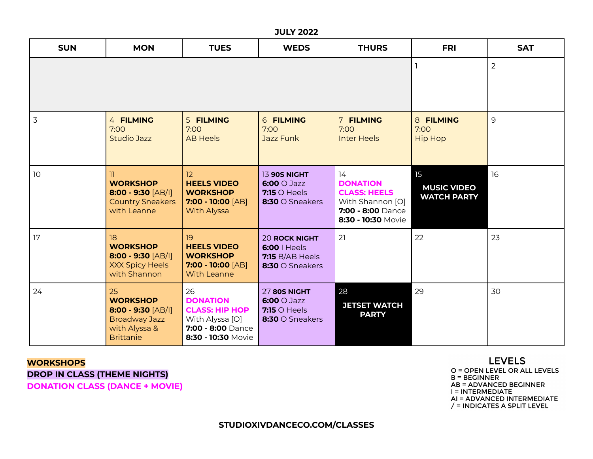#### **JULY 2022**

| <b>SUN</b> | <b>MON</b>                                                                                                 | <b>TUES</b>                                                                                                  | <b>WEDS</b>                                                                         | <b>THURS</b>                                                                                                | <b>FRI</b>                                     | <b>SAT</b> |
|------------|------------------------------------------------------------------------------------------------------------|--------------------------------------------------------------------------------------------------------------|-------------------------------------------------------------------------------------|-------------------------------------------------------------------------------------------------------------|------------------------------------------------|------------|
|            |                                                                                                            |                                                                                                              | $\overline{2}$                                                                      |                                                                                                             |                                                |            |
| 3          | 4 FILMING<br>7:00<br><b>Studio Jazz</b>                                                                    | 5 FILMING<br>7:00<br><b>AB Heels</b>                                                                         | <b>6 FILMING</b><br>7:00<br>Jazz Funk                                               | 7 FILMING<br>7:00<br><b>Inter Heels</b>                                                                     | 8 FILMING<br>7:00<br><b>Hip Hop</b>            | 9          |
| 10         | 11.<br><b>WORKSHOP</b><br>$8:00 - 9:30$ [AB/I]<br><b>Country Sneakers</b><br>with Leanne                   | 12<br><b>HEELS VIDEO</b><br><b>WORKSHOP</b><br>$7:00 - 10:00$ [AB]<br>With Alyssa                            | 13 90S NIGHT<br>$6:00 \cup \text{Jazz}$<br>$7:15$ O Heels<br>8:30 O Sneakers        | 14<br><b>DONATION</b><br><b>CLASS: HEELS</b><br>With Shannon [O]<br>7:00 - 8:00 Dance<br>8:30 - 10:30 Movie | 15<br><b>MUSIC VIDEO</b><br><b>WATCH PARTY</b> | 16         |
| 17         | 18<br><b>WORKSHOP</b><br>$8:00 - 9:30$ [AB/I]<br><b>XXX Spicy Heels</b><br>with Shannon                    | 19<br><b>HEELS VIDEO</b><br><b>WORKSHOP</b><br>$7:00 - 10:00$ [AB]<br><b>With Leanne</b>                     | <b>20 ROCK NIGHT</b><br>$6:00$   Heels<br>$7:15 B/AB$ Heels<br>$8:30$ O Sneakers    | 21                                                                                                          | 22                                             | 23         |
| 24         | 25<br><b>WORKSHOP</b><br>$8:00 - 9:30$ [AB/I]<br><b>Broadway Jazz</b><br>with Alyssa &<br><b>Brittanie</b> | 26<br><b>DONATION</b><br><b>CLASS: HIP HOP</b><br>With Alyssa [O]<br>7:00 - 8:00 Dance<br>8:30 - 10:30 Movie | <b>27 80S NIGHT</b><br>$6:00 \cup \text{Jazz}$<br>$7:15$ O Heels<br>8:30 O Sneakers | 28<br><b>JETSET WATCH</b><br><b>PARTY</b>                                                                   | 29                                             | 30         |

#### **WORKSHOPS**

**DROP IN CLASS (THEME NIGHTS) DONATION CLASS (DANCE + MOVIE)**

**LEVELS** O = OPEN LEVEL OR ALL LEVELS  $B = BEGINNER$ **AB = ADVANCED BEGINNER** I = INTERMEDIATE AI = ADVANCED INTERMEDIATE<br>/ = INDICATES A SPLIT LEVEL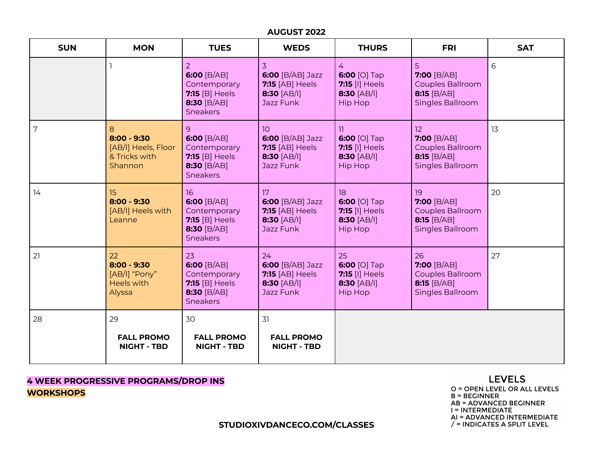#### **AUGUST 2022**

| <b>SUN</b> | <b>MON</b>                                                            | <b>TUES</b>                                                                                    | <b>WEDS</b>                                                                                   | <b>THURS</b>                                                                                | <b>FRI</b>                                                                         | <b>SAT</b> |
|------------|-----------------------------------------------------------------------|------------------------------------------------------------------------------------------------|-----------------------------------------------------------------------------------------------|---------------------------------------------------------------------------------------------|------------------------------------------------------------------------------------|------------|
|            |                                                                       | 2<br>6:00 $[B/AB]$<br>Contemporary<br>$7:15$ [B] Heels<br>8:30 [B/AB]<br><b>Sneakers</b>       | 3.<br>6:00 [B/AB] Jazz<br><b>7:15</b> [AB] Heels<br>$8:30$ [AB/I]<br>Jazz Funk                | 4<br>6:00 [O] Tap<br><b>7:15 [I] Heels</b><br>$8:30$ [AB/I]<br><b>Hip Hop</b>               | 5<br>$7:00$ [B/AB]<br><b>Couples Ballroom</b><br>8:15 $[B/AB]$<br>Singles Ballroom | 6          |
| 7          | 8<br>$8:00 - 9:30$<br>[AB/I] Heels, Floor<br>& Tricks with<br>Shannon | 9<br>6:00 $[B/AB]$<br>Contemporary<br>$7:15$ [B] Heels<br>8:30 [B/AB]<br><b>Sneakers</b>       | 10 <sup>1</sup><br>$6:00$ [B/AB] Jazz<br><b>7:15</b> [AB] Heels<br>$8:30$ [AB/I]<br>Jazz Funk | $\overline{11}$<br>6:00 [O] Tap<br><b>7:15 [1] Heels</b><br>$8:30$ [AB/I]<br><b>Hip Hop</b> | 12<br>7:00 [B/AB]<br>Couples Ballroom<br>8:15 $[B/AB]$<br>Singles Ballroom         | 13         |
| 14         | 15 <sub>15</sub><br>$8:00 - 9:30$<br>[AB/I] Heels with<br>Leanne      | 16<br>6:00 $[B/AB]$<br>Contemporary<br><b>7:15</b> [B] Heels<br>8:30 [B/AB]<br><b>Sneakers</b> | 17<br>6:00 [B/AB] Jazz<br><b>7:15</b> [AB] Heels<br>$8:30$ [AB/I]<br>Jazz Funk                | 18<br>6:00 [O] Tap<br><b>7:15 [I] Heels</b><br>$8:30$ [AB/I]<br><b>Hip Hop</b>              | 19<br>7:00 [B/AB]<br>Couples Ballroom<br>8:15 $[B/AB]$<br>Singles Ballroom         | 20         |
| 21         | 22<br>$8:00 - 9:30$<br>[AB/I] "Pony"<br><b>Heels with</b><br>Alyssa   | 23<br>6:00 $[B/AB]$<br>Contemporary<br>$7:15$ [B] Heels<br>8:30 [B/AB]<br><b>Sneakers</b>      | 24<br>$6:00$ [B/AB] Jazz<br><b>7:15</b> [AB] Heels<br>$8:30$ [AB/I]<br>Jazz Funk              | 25<br>6:00 [O] Tap<br><b>7:15 [I] Heels</b><br>$8:30$ [AB/I]<br><b>Hip Hop</b>              | 26<br>7:00 $[B/AB]$<br>Couples Ballroom<br>8:15 $[B/AB]$<br>Singles Ballroom       | 27         |
| 28         | 29<br><b>FALL PROMO</b>                                               | 30<br><b>FALL PROMO</b>                                                                        | 31<br><b>FALL PROMO</b>                                                                       |                                                                                             |                                                                                    |            |
|            | <b>NIGHT - TBD</b>                                                    | <b>NIGHT - TBD</b>                                                                             | <b>NIGHT - TBD</b>                                                                            |                                                                                             |                                                                                    |            |

## **4 WEEK PROGRESSIVE PROGRAMS/DROP INS WORKSHOPS**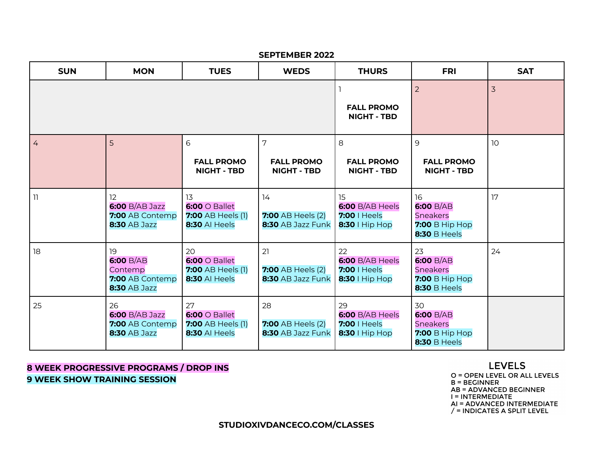#### **SEPTEMBER 2022**

| <b>SUN</b>     | <b>MON</b>                                                           | <b>TUES</b>                                                                   | <b>WEDS</b>                                         | <b>THURS</b>                                              | <b>FRI</b>                                                                                | <b>SAT</b>      |
|----------------|----------------------------------------------------------------------|-------------------------------------------------------------------------------|-----------------------------------------------------|-----------------------------------------------------------|-------------------------------------------------------------------------------------------|-----------------|
|                |                                                                      |                                                                               | <b>FALL PROMO</b><br><b>NIGHT - TBD</b>             | $\overline{2}$                                            | $\overline{3}$                                                                            |                 |
| $\overline{4}$ | 5                                                                    | 6<br><b>FALL PROMO</b><br><b>NIGHT - TBD</b>                                  | 7<br><b>FALL PROMO</b><br><b>NIGHT - TBD</b>        | 8<br><b>FALL PROMO</b><br><b>NIGHT - TBD</b>              | 9<br><b>FALL PROMO</b><br><b>NIGHT - TBD</b>                                              | 10 <sup>°</sup> |
| 11             | 12<br>6:00 B/AB Jazz<br>7:00 AB Contemp<br><b>8:30 AB Jazz</b>       | 13<br>$6:00 \circ$ Ballet<br><b>7:00 AB Heels (1)</b><br><b>8:30 AI Heels</b> | 14<br><b>7:00 AB Heels (2)</b><br>8:30 AB Jazz Funk | 15<br>6:00 B/AB Heels<br>7:00   Heels<br>$8:30$   Hip Hop | 16<br>6:00 B/AB<br><b>Sneakers</b><br><b>7:00 B Hip Hop</b><br><b>8:30 B Heels</b>        | 17              |
| 18             | 19<br>6:00 B/AB<br>Contemp<br>7:00 AB Contemp<br><b>8:30 AB Jazz</b> | 20<br>$6:00 \circ$ Ballet<br><b>7:00 AB Heels (1)</b><br><b>8:30 AI Heels</b> | 21<br><b>7:00 AB Heels (2)</b><br>8:30 AB Jazz Funk | 22<br>6:00 B/AB Heels<br>7:00   Heels<br>8:30   Hip Hop   | 23<br><b>6:00 B/AB</b><br><b>Sneakers</b><br><b>7:00 B Hip Hop</b><br><b>8:30 B Heels</b> | 24              |
| 25             | 26<br>$6:00 B/AB$ Jazz<br>7:00 AB Contemp<br><b>8:30 AB Jazz</b>     | 27<br>$6:00 \circ$ Ballet<br><b>7:00 AB Heels (1)</b><br><b>8:30 AI Heels</b> | 28<br><b>7:00 AB Heels (2)</b><br>8:30 AB Jazz Funk | 29<br>6:00 B/AB Heels<br>7:00   Heels<br>8:30   Hip Hop   | 30<br>6:00 B/AB<br><b>Sneakers</b><br><b>7:00 B Hip Hop</b><br><b>8:30 B Heels</b>        |                 |

## **8 WEEK PROGRESSIVE PROGRAMS / DROP INS 9 WEEK SHOW TRAINING SESSION**

### **LEVELS**

O = OPEN LEVEL OR ALL LEVELS  $B = BEGINNER$ **AB = ADVANCED BEGINNER** I = INTERMEDIATE AI = ADVANCED INTERMEDIATE  $/$  = INDICATES A SPLIT LEVEL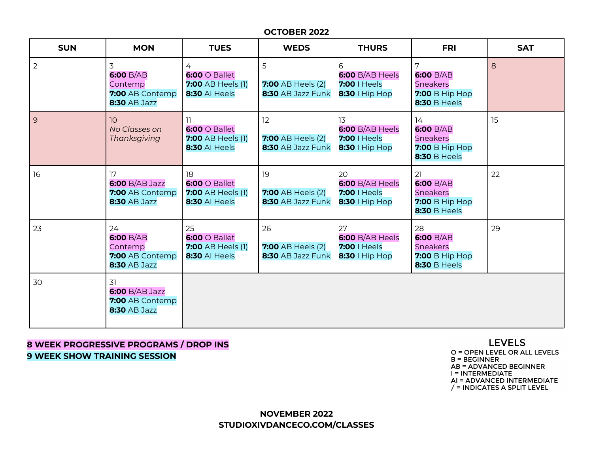#### **OCTOBER 2022**

| <b>SUN</b> | <b>MON</b>                                                           | <b>TUES</b>                                                                   | <b>WEDS</b>                                         | <b>THURS</b>                                                | <b>FRI</b>                                                                         | <b>SAT</b> |
|------------|----------------------------------------------------------------------|-------------------------------------------------------------------------------|-----------------------------------------------------|-------------------------------------------------------------|------------------------------------------------------------------------------------|------------|
| 2          | 3<br>6:00 B/AB<br>Contemp<br>7:00 AB Contemp<br><b>8:30 AB Jazz</b>  | 4<br>$6:00 \circ$ Ballet<br><b>7:00 AB Heels (1)</b><br><b>8:30 AI Heels</b>  | 5<br><b>7:00 AB Heels (2)</b><br>8:30 AB Jazz Funk  | 6<br>$6:00 B/AB$ Heels<br>7:00   Heels<br>8:30   Hip Hop    | 7<br>6:00 B/AB<br>Sneakers<br><b>7:00 B Hip Hop</b><br><b>8:30 B Heels</b>         | 8          |
| $\vert$ 9  | 10 <sup>°</sup><br>No Classes on<br>Thanksgiving                     | 11<br>$6:00 \circ$ Ballet<br><b>7:00 AB Heels (1)</b><br><b>8:30 AI Heels</b> | 12<br><b>7:00 AB Heels (2)</b><br>8:30 AB Jazz Funk | 13<br>$6:00 B/AB$ Heels<br>7:00   Heels<br>$8:30$   Hip Hop | 14<br>6:00 B/AB<br>Sneakers<br><b>7:00 B Hip Hop</b><br><b>8:30 B Heels</b>        | 15         |
| 16         | 17<br>$6:00 B/AB$ Jazz<br>7:00 AB Contemp<br><b>8:30 AB Jazz</b>     | 18<br>$6:00 \circ$ Ballet<br><b>7:00 AB Heels (1)</b><br>8:30 Al Heels        | 19<br><b>7:00 AB Heels (2)</b><br>8:30 AB Jazz Funk | 20<br>6:00 B/AB Heels<br>7:00   Heels<br>8:30   Hip Hop     | 21<br>6:00 B/AB<br><b>Sneakers</b><br><b>7:00 B Hip Hop</b><br><b>8:30 B Heels</b> | 22         |
| 23         | 24<br>6:00 B/AB<br>Contemp<br>7:00 AB Contemp<br><b>8:30 AB Jazz</b> | 25<br>$6:00 \circ$ Ballet<br><b>7:00 AB Heels (1)</b><br><b>8:30 AI Heels</b> | 26<br><b>7:00 AB Heels (2)</b><br>8:30 AB Jazz Funk | 27<br>6:00 B/AB Heels<br>7:00   Heels<br>$8:30$   Hip Hop   | 28<br>6:00 B/AB<br><b>Sneakers</b><br><b>7:00 B Hip Hop</b><br><b>8:30 B Heels</b> | 29         |
| 30         | 31<br>$6:00 B/AB$ Jazz<br>7:00 AB Contemp<br><b>8:30 AB Jazz</b>     |                                                                               |                                                     |                                                             |                                                                                    |            |

**8 WEEK PROGRESSIVE PROGRAMS / DROP INS 9 WEEK SHOW TRAINING SESSION**

**LEVELS** 

O = OPEN LEVEL OR ALL LEVELS  $B = BEGINNER$ **AB = ADVANCED BEGINNER** I = INTERMEDIATE AI = ADVANCED INTERMEDIATE  $/$  = INDICATES A SPLIT LEVEL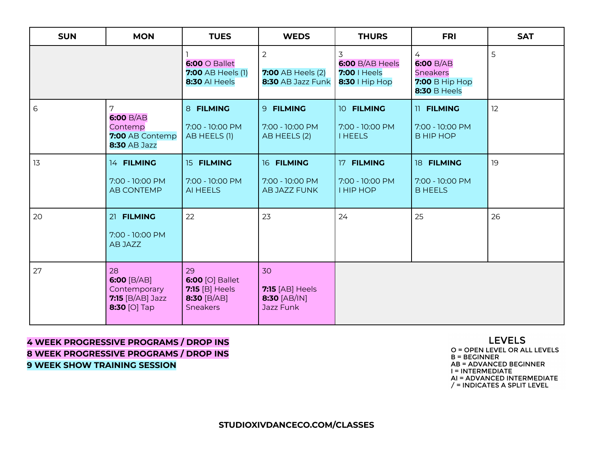| <b>SUN</b> | <b>MON</b>                                                                            | <b>TUES</b>                                                                 | <b>WEDS</b>                                                     | <b>THURS</b>                                           | <b>FRI</b>                                                                        | <b>SAT</b> |
|------------|---------------------------------------------------------------------------------------|-----------------------------------------------------------------------------|-----------------------------------------------------------------|--------------------------------------------------------|-----------------------------------------------------------------------------------|------------|
|            |                                                                                       | $6:00 \circ$ Ballet<br><b>7:00 AB Heels (1)</b><br>8:30 Al Heels            | $\overline{2}$<br><b>7:00 AB Heels (2)</b><br>8:30 AB Jazz Funk | 3<br>6:00 B/AB Heels<br>7:00   Heels<br>8:30   Hip Hop | 4<br>6:00 B/AB<br><b>Sneakers</b><br><b>7:00 B Hip Hop</b><br><b>8:30 B Heels</b> | 5          |
| 6          | 7<br>6:00 B/AB<br>Contemp<br>7:00 AB Contemp<br><b>8:30 AB Jazz</b>                   | 8 FILMING<br>7:00 - 10:00 PM<br>AB HEELS (1)                                | 9 FILMING<br>7:00 - 10:00 PM<br>AB HEELS (2)                    | 10 FILMING<br>7:00 - 10:00 PM<br><b>I HEELS</b>        | 11 FILMING<br>7:00 - 10:00 PM<br><b>B HIP HOP</b>                                 | 12         |
| 13         | 14 FILMING<br>7:00 - 10:00 PM<br><b>AB CONTEMP</b>                                    | 15 FILMING<br>7:00 - 10:00 PM<br>AI HEELS                                   | 16 FILMING<br>7:00 - 10:00 PM<br>AB JAZZ FUNK                   | 17 FILMING<br>7:00 - 10:00 PM<br><b>I HIP HOP</b>      | 18 FILMING<br>7:00 - 10:00 PM<br><b>B HEELS</b>                                   | 19         |
| 20         | 21 FILMING<br>7:00 - 10:00 PM<br>AB JAZZ                                              | 22                                                                          | 23                                                              | 24                                                     | 25                                                                                | 26         |
| 27         | 28<br>6:00 $[B/AB]$<br>Contemporary<br><b>7:15</b> [B/AB] Jazz<br><b>8:30 [O] Tap</b> | 29<br>6:00 [O] Ballet<br>$7:15$ [B] Heels<br>8:30 [B/AB]<br><b>Sneakers</b> | 30<br><b>7:15</b> [AB] Heels<br>8:30 [AB/IN]<br>Jazz Funk       |                                                        |                                                                                   |            |

# **4 WEEK PROGRESSIVE PROGRAMS / DROP INS 8 WEEK PROGRESSIVE PROGRAMS / DROP INS 9 WEEK SHOW TRAINING SESSION**

### **LEVELS** O = OPEN LEVEL OR ALL LEVELS

 $B = BEGINNER$ **AB = ADVANCED BEGINNER** I = INTERMEDIATE AI = ADVANCED INTERMEDIATE  $\frac{1}{2}$  = INDICATES A SPLIT LEVEL